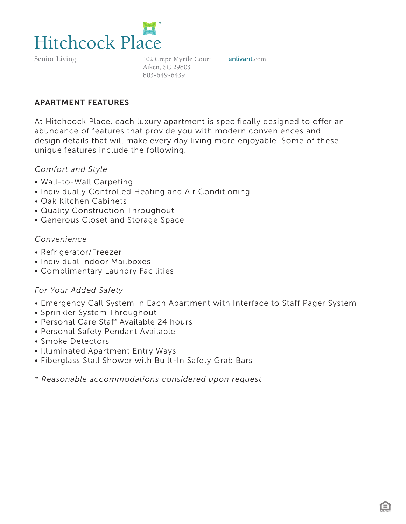

Senior Living

102 Crepe Myrtle Court enlivant.com Aiken, SC 29803 803-649-6439

#### APARTMENT FEATURES

At Hitchcock Place, each luxury apartment is specifically designed to offer an abundance of features that provide you with modern conveniences and design details that will make every day living more enjoyable. Some of these unique features include the following.

#### *Comfort and Style*

- Wall-to-Wall Carpeting
- Individually Controlled Heating and Air Conditioning
- Oak Kitchen Cabinets
- Quality Construction Throughout
- Generous Closet and Storage Space

### *Convenience*

- Refrigerator/Freezer
- Individual Indoor Mailboxes
- Complimentary Laundry Facilities

### *For Your Added Safety*

- Emergency Call System in Each Apartment with Interface to Staff Pager System
- Sprinkler System Throughout
- Personal Care Staff Available 24 hours
- Personal Safety Pendant Available
- Smoke Detectors
- Illuminated Apartment Entry Ways
- Fiberglass Stall Shower with Built-In Safety Grab Bars

*\* Reasonable accommodations considered upon request*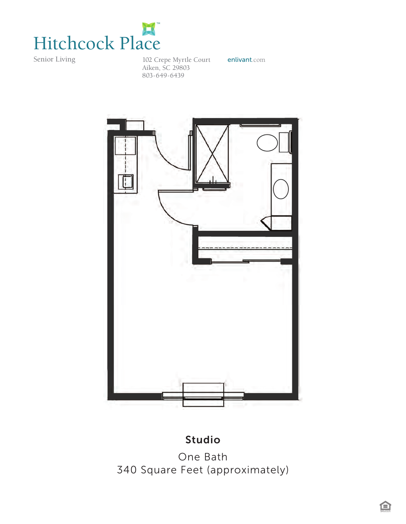

Senior Living

102 Crepe Myrtle Court enlivant.com Aiken, SC 29803 803-649-6439



# Studio

One Bath 340 Square Feet (approximately)